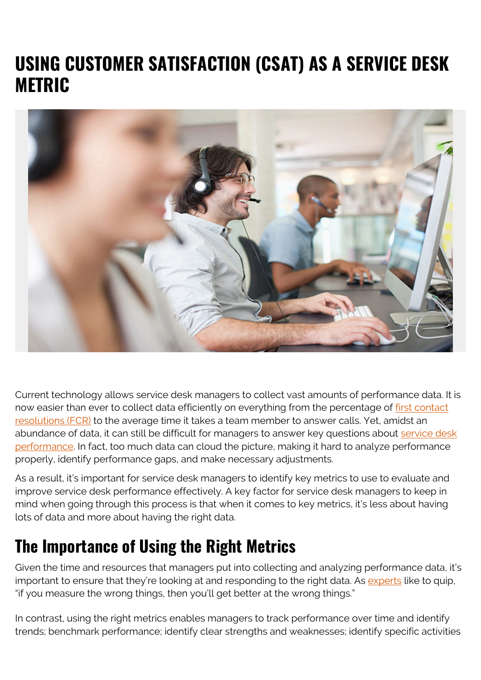# **USING CUSTOMER SATISFACTION (CSAT) AS A SERVICE DESK METRIC**



Current technology allows service desk managers to collect vast amounts of performance data. It is now easier than ever to collect data efficiently on everything from the percentage of [first contact](https://www.bmc.com/blogs/first-contact-resolution-for-improved-customer-satisfaction/) [resolutions \(FCR\)](https://www.bmc.com/blogs/first-contact-resolution-for-improved-customer-satisfaction/) to the average time it takes a team member to answer calls. Yet, amidst an abundance of data, it can still be difficult for managers to answer key questions about [service desk](https://www.bmc.com/blogs/improve-service-desk-performance/) [performance.](https://www.bmc.com/blogs/improve-service-desk-performance/) In fact, too much data can cloud the picture, making it hard to analyze performance properly, identify performance gaps, and make necessary adjustments.

As a result, it's important for service desk managers to identify key metrics to use to evaluate and improve service desk performance effectively. A key factor for service desk managers to keep in mind when going through this process is that when it comes to key metrics, it's less about having lots of data and more about having the right data.

#### **The Importance of Using the Right Metrics**

Given the time and resources that managers put into collecting and analyzing performance data, it's important to ensure that they're looking at and responding to the right data. As [experts](https://itsm.tools/getting-your-service-desk-metrics-and-measurement-right/) like to quip, "if you measure the wrong things, then you'll get better at the wrong things."

In contrast, using the right metrics enables managers to track performance over time and identify trends; benchmark performance; identify clear strengths and weaknesses; identify specific activities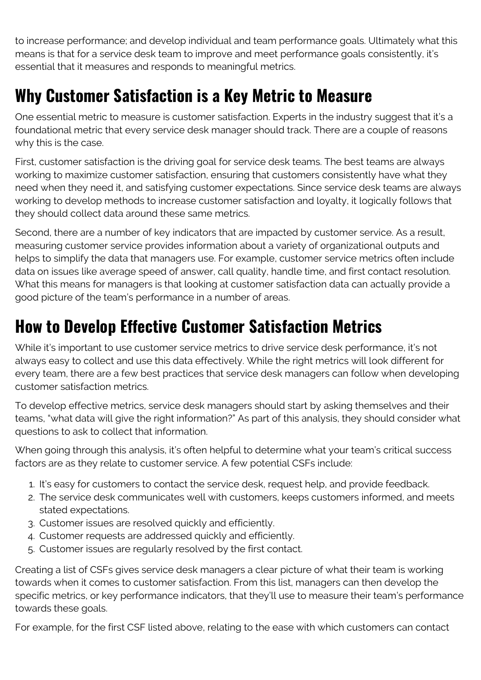to increase performance; and develop individual and team performance goals. Ultimately what this means is that for a service desk team to improve and meet performance goals consistently, it's essential that it measures and responds to meaningful metrics.

### **Why Customer Satisfaction is a Key Metric to Measure**

One essential metric to measure is customer satisfaction. Experts in the industry suggest that it's a foundational metric that every service desk manager should track. There are a couple of reasons why this is the case.

First, customer satisfaction is the driving goal for service desk teams. The best teams are always working to maximize customer satisfaction, ensuring that customers consistently have what they need when they need it, and satisfying customer expectations. Since service desk teams are always working to develop methods to increase customer satisfaction and loyalty, it logically follows that they should collect data around these same metrics.

Second, there are a number of key indicators that are impacted by customer service. As a result, measuring customer service provides information about a variety of organizational outputs and helps to simplify the data that managers use. For example, customer service metrics often include data on issues like average speed of answer, call quality, handle time, and first contact resolution. What this means for managers is that looking at customer satisfaction data can actually provide a good picture of the team's performance in a number of areas.

### **How to Develop Effective Customer Satisfaction Metrics**

While it's important to use customer service metrics to drive service desk performance, it's not always easy to collect and use this data effectively. While the right metrics will look different for every team, there are a few best practices that service desk managers can follow when developing customer satisfaction metrics.

To develop effective metrics, service desk managers should start by asking themselves and their teams, "what data will give the right information?" As part of this analysis, they should consider what questions to ask to collect that information.

When going through this analysis, it's often helpful to determine what your team's critical success factors are as they relate to customer service. A few potential CSFs include:

- 1. It's easy for customers to contact the service desk, request help, and provide feedback.
- 2. The service desk communicates well with customers, keeps customers informed, and meets stated expectations.
- 3. Customer issues are resolved quickly and efficiently.
- 4. Customer requests are addressed quickly and efficiently.
- 5. Customer issues are regularly resolved by the first contact.

Creating a list of CSFs gives service desk managers a clear picture of what their team is working towards when it comes to customer satisfaction. From this list, managers can then develop the specific metrics, or key performance indicators, that they'll use to measure their team's performance towards these goals.

For example, for the first CSF listed above, relating to the ease with which customers can contact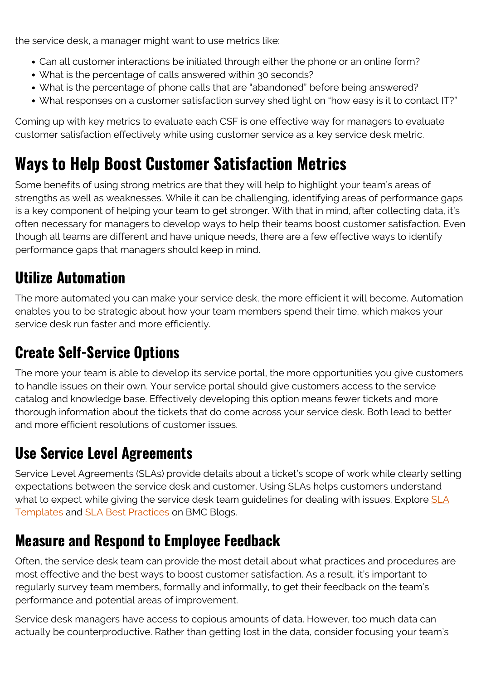the service desk, a manager might want to use metrics like:

- Can all customer interactions be initiated through either the phone or an online form?
- What is the percentage of calls answered within 30 seconds?
- What is the percentage of phone calls that are "abandoned" before being answered?
- What responses on a customer satisfaction survey shed light on "how easy is it to contact IT?"

Coming up with key metrics to evaluate each CSF is one effective way for managers to evaluate customer satisfaction effectively while using customer service as a key service desk metric.

## **Ways to Help Boost Customer Satisfaction Metrics**

Some benefits of using strong metrics are that they will help to highlight your team's areas of strengths as well as weaknesses. While it can be challenging, identifying areas of performance gaps is a key component of helping your team to get stronger. With that in mind, after collecting data, it's often necessary for managers to develop ways to help their teams boost customer satisfaction. Even though all teams are different and have unique needs, there are a few effective ways to identify performance gaps that managers should keep in mind.

#### **Utilize Automation**

The more automated you can make your service desk, the more efficient it will become. Automation enables you to be strategic about how your team members spend their time, which makes your service desk run faster and more efficiently.

#### **Create Self-Service Options**

The more your team is able to develop its service portal, the more opportunities you give customers to handle issues on their own. Your service portal should give customers access to the service catalog and knowledge base. Effectively developing this option means fewer tickets and more thorough information about the tickets that do come across your service desk. Both lead to better and more efficient resolutions of customer issues.

### **Use Service Level Agreements**

Service Level Agreements (SLAs) provide details about a ticket's scope of work while clearly setting expectations between the service desk and customer. Using SLAs helps customers understand what to expect while giving the service desk team guidelines for dealing with issues. Explore [SLA](https://blogs.bmc.com/blogs/sla-template-examples/) [Templates](https://blogs.bmc.com/blogs/sla-template-examples/) and [SLA Best Practices](https://blogs.bmc.com/blogs/sla-best-practices/) on BMC Blogs.

#### **Measure and Respond to Employee Feedback**

Often, the service desk team can provide the most detail about what practices and procedures are most effective and the best ways to boost customer satisfaction. As a result, it's important to regularly survey team members, formally and informally, to get their feedback on the team's performance and potential areas of improvement.

Service desk managers have access to copious amounts of data. However, too much data can actually be counterproductive. Rather than getting lost in the data, consider focusing your team's